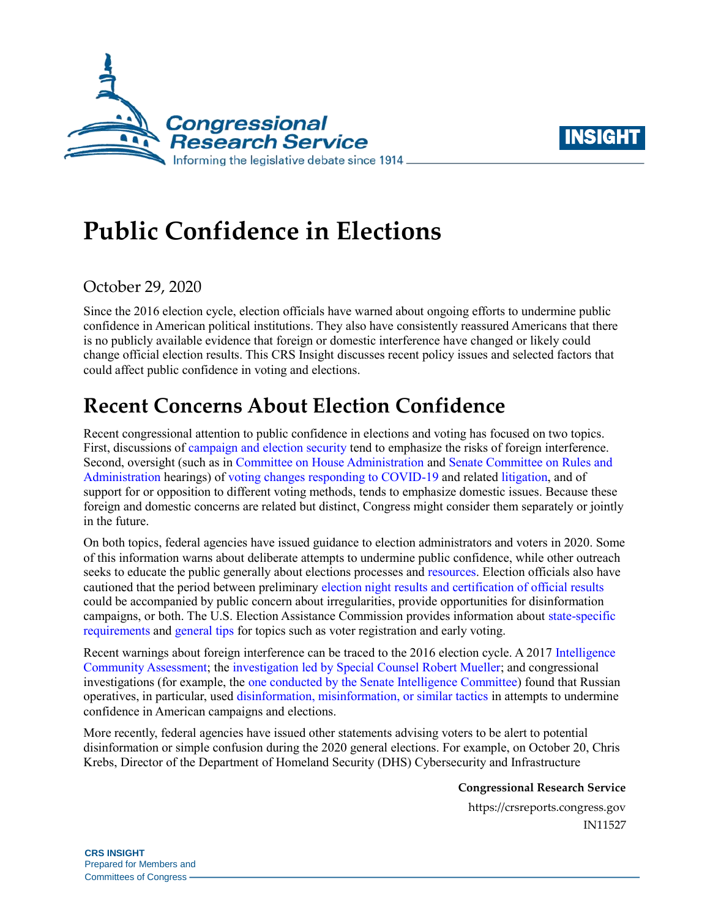



# **Public Confidence in Elections**

## October 29, 2020

Since the 2016 election cycle, election officials have warned about ongoing efforts to undermine public confidence in American political institutions. They also have consistently reassured Americans that there is no publicly available evidence that foreign or domestic interference have changed or likely could change official election results. This CRS Insight discusses recent policy issues and selected factors that could affect public confidence in voting and elections.

## **Recent Concerns About Election Confidence**

Recent congressional attention to public confidence in elections and voting has focused on two topics. First, discussions of [campaign and election security](https://crsreports.congress.gov/product/pdf/R/R46146) tend to emphasize the risks of foreign interference. Second, oversight (such as in [Committee on House Administration](https://cha.house.gov/committee-activity/hearings/impact-covid-19-voting-rights-and-election-administration-ensuring-safe) and [Senate Committee on Rules and](https://www.rules.senate.gov/hearings/2020-general-election-preparations)  [Administration](https://www.rules.senate.gov/hearings/2020-general-election-preparations) hearings) of [voting changes responding to COVID-19](https://crsreports.congress.gov/product/pdf/R/R46455) and related [litigation,](https://crsreports.congress.gov/product/pdf/LSB/LSB10470) and of support for or opposition to different voting methods, tends to emphasize domestic issues. Because these foreign and domestic concerns are related but distinct, Congress might consider them separately or jointly in the future.

On both topics, federal agencies have issued guidance to election administrators and voters in 2020. Some of this information warns about deliberate attempts to undermine public confidence, while other outreach seeks to educate the public generally about elections processes and [resources.](https://crsreports.congress.gov/product/pdf/IN/IN11518) Election officials also have cautioned that the period between preliminary [election night results and certification of official results](https://crsreports.congress.gov/product/pdf/R/R46565) could be accompanied by public concern about irregularities, provide opportunities for disinformation campaigns, or both. The U.S. Election Assistance Commission provides information about [state-specific](https://www.eac.gov/voters/register-and-vote-in-your-state)  [requirements](https://www.eac.gov/voters/register-and-vote-in-your-state) and [general tips](https://www.eac.gov/sites/default/files/eac_assets/1/28/Voter) for topics such as voter registration and early voting.

Recent warnings about foreign interference can be traced to the 2016 election cycle. A 2017 [Intelligence](https://www.dni.gov/files/documents/ICA_2017_01.pdf)  Community [Assessment;](https://www.dni.gov/files/documents/ICA_2017_01.pdf) the investigation [led by Special Counsel Robert Mueller;](https://www.justice.gov/sco) and congressional investigations (for example, the [one conducted by the Senate Intelligence Committee\)](https://www.intelligence.senate.gov/press/senate-intel-releases-volume-5-bipartisan-russia-report) found that Russian operatives, in particular, used [disinformation, misinformation, or similar tactics](https://crsreports.congress.gov/product/pdf/R/R45142#_Toc510089143) in attempts to undermine confidence in American campaigns and elections.

More recently, federal agencies have issued other statements advising voters to be alert to potential disinformation or simple confusion during the 2020 general elections. For example, on October 20, Chris Krebs, Director of the Department of Homeland Security (DHS) Cybersecurity and Infrastructure

**Congressional Research Service**

https://crsreports.congress.gov IN11527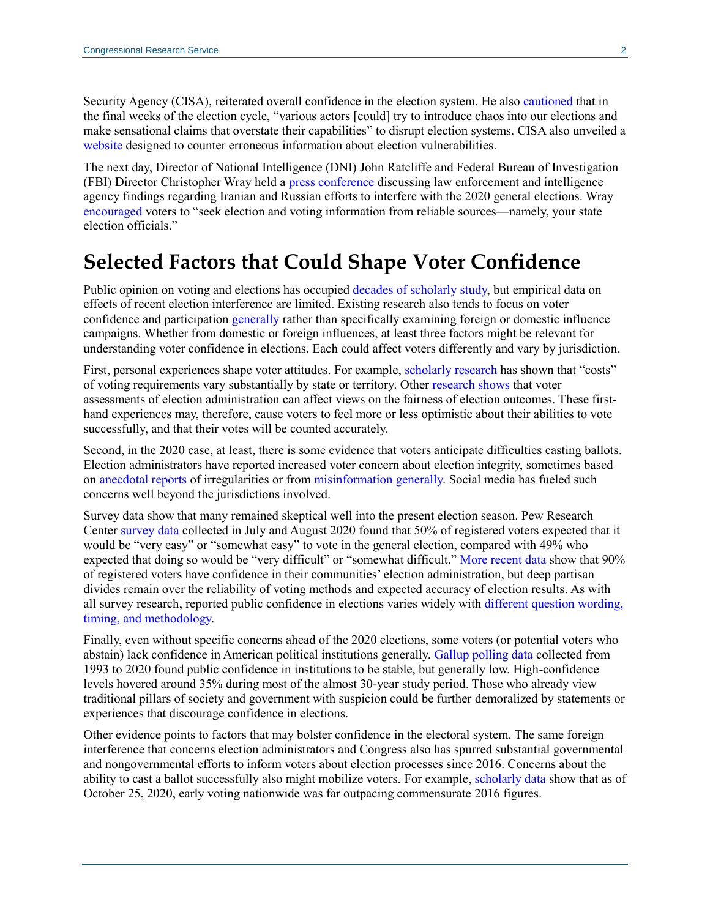Security Agency (CISA), reiterated overall confidence in the election system. He also [cautioned](https://www.cisa.gov/news/2020/10/20/statement-cisa-director-krebs-security-and-resilience-2020-elections) that in the final weeks of the election cycle, "various actors [could] try to introduce chaos into our elections and make sensational claims that overstate their capabilities" to disrupt election systems. CISA also unveiled a [website](https://www.cisa.gov/rumorcontrol) designed to counter erroneous information about election vulnerabilities.

The next day, Director of National Intelligence (DNI) John Ratcliffe and Federal Bureau of Investigation (FBI) Director Christopher Wray held a [press conference](https://www.c-span.org/video/?477255-1/national-security-officials-warn-election-interference-iran-russia) discussing law enforcement and intelligence agency findings regarding Iranian and Russian efforts to interfere with the 2020 general elections. Wray [encouraged](https://www.fbi.gov/news/pressrel/press-releases/fbi-director-christopher-wrays-remarks-at-press-conference-on-election-security) voters to "seek election and voting information from reliable sources—namely, your state election officials."

## **Selected Factors that Could Shape Voter Confidence**

Public opinion on voting and elections has occupied [decades of scholarly study,](https://methods.sagepub.com/book/sage-hdbk-public-opinion-research) but empirical data on effects of recent election interference are limited. Existing research also tends to focus on voter confidence and participation [generally](https://electionlab.mit.edu/research/voter-confidence) rather than specifically examining foreign or domestic influence campaigns. Whether from domestic or foreign influences, at least three factors might be relevant for understanding voter confidence in elections. Each could affect voters differently and vary by jurisdiction.

First, personal experiences shape voter attitudes. For example, [scholarly research](https://newsroom.niu.edu/2020/10/13/how-hard-is-it-to-vote-in-your-state/) has shown that "costs" of voting requirements vary substantially by state or territory. Other [research shows](https://www.sciencedirect.com/science/article/pii/S0261379415000062) that voter assessments of election administration can affect views on the fairness of election outcomes. These firsthand experiences may, therefore, cause voters to feel more or less optimistic about their abilities to vote successfully, and that their votes will be counted accurately.

Second, in the 2020 case, at least, there is some evidence that voters anticipate difficulties casting ballots. Election administrators have reported increased voter concern about election integrity, sometimes based on [anecdotal reports](https://www.washingtonpost.com/politics/fearful-calls-flood-election-offices-as-trump-attacks-mail-in-voting-threatening-participation-in-gop-strongholds/2020/10/24/831e896e-1474-11eb-ba42-ec6a580836ed_story.html) of irregularities or from [misinformation generally.](https://www.nytimes.com/2020/10/29/technology/misinformation-local-election-officials.html?smid=tw-nytpolitics&smtyp=cur) Social media has fueled such concerns well beyond the jurisdictions involved.

Survey data show that many remained skeptical well into the present election season. Pew Research Center [survey data](https://www.pewresearch.org/politics/2020/08/13/election-2020-voters-are-highly-engaged-but-nearly-half-expect-to-have-difficulties-voting/) collected in July and August 2020 found that 50% of registered voters expected that it would be "very easy" or "somewhat easy" to vote in the general election, compared with 49% who expected that doing so would be "very difficult" or "somewhat difficult.[" More recent](https://www.pewresearch.org/politics/2020/10/14/deep-divisions-in-views-of-the-election-process-and-whether-it-will-be-clear-who-won/) data show that 90% of registered voters have confidence in their communities' election administration, but deep partisan divides remain over the reliability of voting methods and expected accuracy of election results. As with all survey research, reported public confidence in elections varies widely with [different question wording,](https://fivethirtyeight.com/features/republicans-are-less-confident-than-democrats-that-the-election-will-be-conducted-fairly/)  [timing, and methodology.](https://fivethirtyeight.com/features/republicans-are-less-confident-than-democrats-that-the-election-will-be-conducted-fairly/)

Finally, even without specific concerns ahead of the 2020 elections, some voters (or potential voters who abstain) lack confidence in American political institutions generally. [Gallup polling data](https://news.gallup.com/poll/317135/amid-pandemic-confidence-key-institutions-surges.aspx) collected from 1993 to 2020 found public confidence in institutions to be stable, but generally low. High-confidence levels hovered around 35% during most of the almost 30-year study period. Those who already view traditional pillars of society and government with suspicion could be further demoralized by statements or experiences that discourage confidence in elections.

Other evidence points to factors that may bolster confidence in the electoral system. The same foreign interference that concerns election administrators and Congress also has spurred substantial governmental and nongovernmental efforts to inform voters about election processes since 2016. Concerns about the ability to cast a ballot successfully also might mobilize voters. For example, [scholarly data](https://electproject.github.io/Early-Vote-2020G/Early_Vote_Analysis_10_25.html) show that as of October 25, 2020, early voting nationwide was far outpacing commensurate 2016 figures.